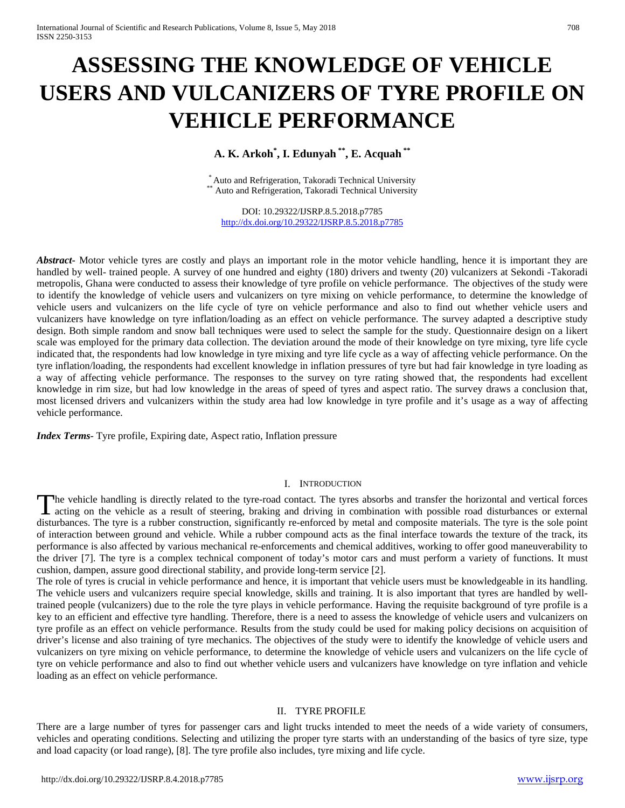# **ASSESSING THE KNOWLEDGE OF VEHICLE USERS AND VULCANIZERS OF TYRE PROFILE ON VEHICLE PERFORMANCE**

**A. K. Arkoh\* , I. Edunyah \*\*, E. Acquah \*\***

\* Auto and Refrigeration, Takoradi Technical University \*<br>\*\* Auto and Refrigeration, Takoradi Technical University

DOI: 10.29322/IJSRP.8.5.2018.p7785 <http://dx.doi.org/10.29322/IJSRP.8.5.2018.p7785>

*Abstract* Motor vehicle tyres are costly and plays an important role in the motor vehicle handling, hence it is important they are handled by well- trained people. A survey of one hundred and eighty (180) drivers and twenty (20) vulcanizers at Sekondi -Takoradi metropolis, Ghana were conducted to assess their knowledge of tyre profile on vehicle performance. The objectives of the study were to identify the knowledge of vehicle users and vulcanizers on tyre mixing on vehicle performance, to determine the knowledge of vehicle users and vulcanizers on the life cycle of tyre on vehicle performance and also to find out whether vehicle users and vulcanizers have knowledge on tyre inflation/loading as an effect on vehicle performance. The survey adapted a descriptive study design. Both simple random and snow ball techniques were used to select the sample for the study. Questionnaire design on a likert scale was employed for the primary data collection. The deviation around the mode of their knowledge on tyre mixing, tyre life cycle indicated that, the respondents had low knowledge in tyre mixing and tyre life cycle as a way of affecting vehicle performance. On the tyre inflation/loading, the respondents had excellent knowledge in inflation pressures of tyre but had fair knowledge in tyre loading as a way of affecting vehicle performance. The responses to the survey on tyre rating showed that, the respondents had excellent knowledge in rim size, but had low knowledge in the areas of speed of tyres and aspect ratio. The survey draws a conclusion that, most licensed drivers and vulcanizers within the study area had low knowledge in tyre profile and it's usage as a way of affecting vehicle performance.

*Index Terms*- Tyre profile, Expiring date, Aspect ratio, Inflation pressure

#### I. INTRODUCTION

The vehicle handling is directly related to the tyre-road contact. The tyres absorbs and transfer the horizontal and vertical forces The vehicle handling is directly related to the tyre-road contact. The tyres absorbs and transfer the horizontal and vertical forces acting on the vehicle as a result of steering, braking and driving in combination with po disturbances. The tyre is a rubber construction, significantly re-enforced by metal and composite materials. The tyre is the sole point of interaction between ground and vehicle. While a rubber compound acts as the final interface towards the texture of the track, its performance is also affected by various mechanical re-enforcements and chemical additives, working to offer good maneuverability to the driver [7]. The tyre is a complex technical component of today's motor cars and must perform a variety of functions. It must cushion, dampen, assure good directional stability, and provide long-term service [2].

The role of tyres is crucial in vehicle performance and hence, it is important that vehicle users must be knowledgeable in its handling. The vehicle users and vulcanizers require special knowledge, skills and training. It is also important that tyres are handled by welltrained people (vulcanizers) due to the role the tyre plays in vehicle performance. Having the requisite background of tyre profile is a key to an efficient and effective tyre handling. Therefore, there is a need to assess the knowledge of vehicle users and vulcanizers on tyre profile as an effect on vehicle performance. Results from the study could be used for making policy decisions on acquisition of driver's license and also training of tyre mechanics. The objectives of the study were to identify the knowledge of vehicle users and vulcanizers on tyre mixing on vehicle performance, to determine the knowledge of vehicle users and vulcanizers on the life cycle of tyre on vehicle performance and also to find out whether vehicle users and vulcanizers have knowledge on tyre inflation and vehicle loading as an effect on vehicle performance.

# II. TYRE PROFILE

There are a large number of tyres for passenger cars and light trucks intended to meet the needs of a wide variety of consumers, vehicles and operating conditions. Selecting and utilizing the proper tyre starts with an understanding of the basics of tyre size, type and load capacity (or load range), [8]. The tyre profile also includes, tyre mixing and life cycle.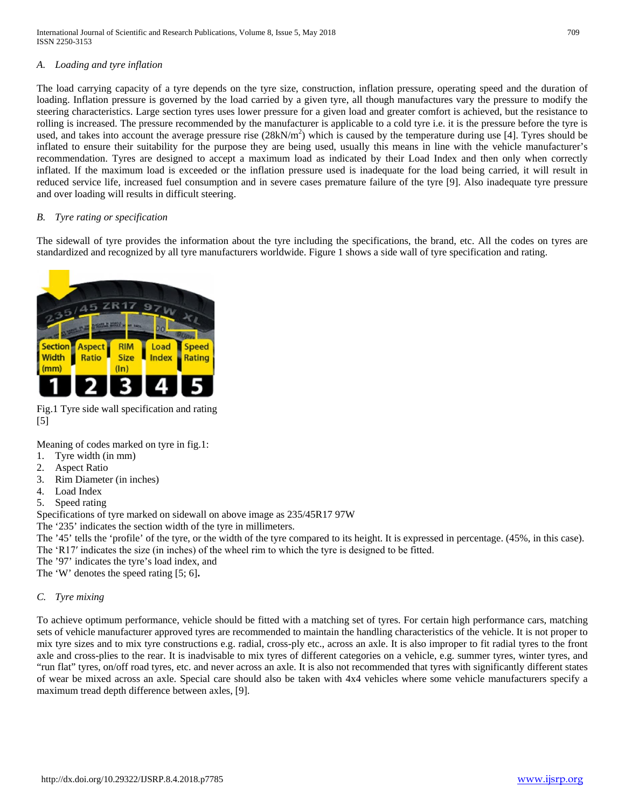International Journal of Scientific and Research Publications, Volume 8, Issue 5, May 2018 709 ISSN 2250-3153

#### *A. Loading and tyre inflation*

The load carrying capacity of a tyre depends on the tyre size, construction, inflation pressure, operating speed and the duration of loading. Inflation pressure is governed by the load carried by a given tyre, all though manufactures vary the pressure to modify the steering characteristics. Large section tyres uses lower pressure for a given load and greater comfort is achieved, but the resistance to rolling is increased. The pressure recommended by the manufacturer is applicable to a cold tyre i.e. it is the pressure before the tyre is used, and takes into account the average pressure rise  $(28kN/m^2)$  which is caused by the temperature during use [4]. Tyres should be inflated to ensure their suitability for the purpose they are being used, usually this means in line with the vehicle manufacturer's recommendation. Tyres are designed to accept a maximum load as indicated by their Load Index and then only when correctly inflated. If the maximum load is exceeded or the inflation pressure used is inadequate for the load being carried, it will result in reduced service life, increased fuel consumption and in severe cases premature failure of the tyre [9]. Also inadequate tyre pressure and over loading will results in difficult steering.

#### *B. Tyre rating or specification*

The sidewall of tyre provides the information about the tyre including the specifications, the brand, etc. All the codes on tyres are standardized and recognized by all tyre manufacturers worldwide. Figure 1 shows a side wall of tyre specification and rating.



Fig.1 Tyre side wall specification and rating [5]

Meaning of codes marked on tyre in fig.1:

- 1. Tyre width (in mm)
- 2. Aspect Ratio
- 3. Rim Diameter (in inches)
- 4. Load Index
- 5. Speed rating

Specifications of tyre marked on sidewall on above image as 235/45R17 97W

The '235' indicates the section width of the tyre in millimeters.

The '45' tells the 'profile' of the tyre, or the width of the tyre compared to its height. It is expressed in percentage. (45%, in this case). The 'R17′ indicates the size (in inches) of the wheel rim to which the tyre is designed to be fitted.

The '97' indicates the tyre's load index, and

The 'W' denotes the speed rating [5; 6]**.**

#### *C. Tyre mixing*

To achieve optimum performance, vehicle should be fitted with a matching set of tyres. For certain high performance cars, matching sets of vehicle manufacturer approved tyres are recommended to maintain the handling characteristics of the vehicle. It is not proper to mix tyre sizes and to mix tyre constructions e.g. radial, cross-ply etc., across an axle. It is also improper to fit radial tyres to the front axle and cross-plies to the rear. It is inadvisable to mix tyres of different categories on a vehicle, e.g. summer tyres, winter tyres, and "run flat" tyres, on/off road tyres, etc. and never across an axle. It is also not recommended that tyres with significantly different states of wear be mixed across an axle. Special care should also be taken with 4x4 vehicles where some vehicle manufacturers specify a maximum tread depth difference between axles, [9].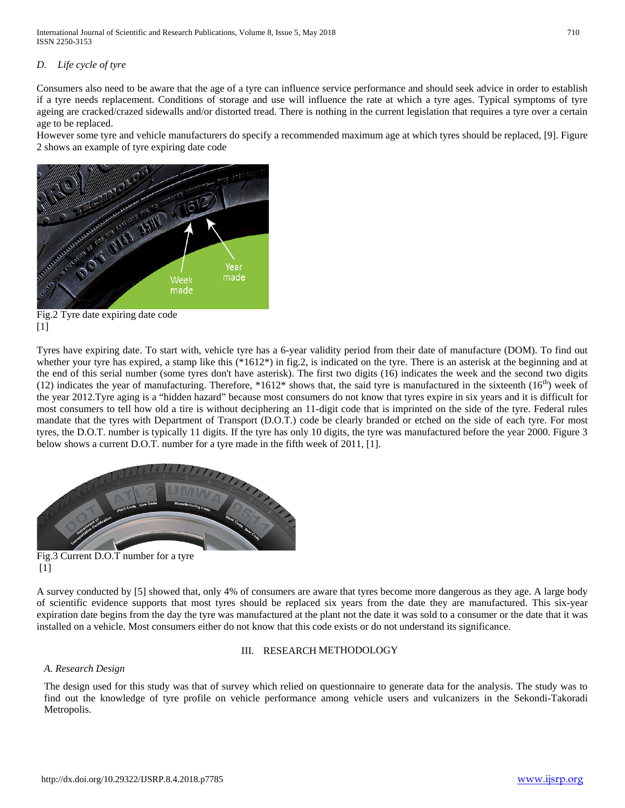International Journal of Scientific and Research Publications, Volume 8, Issue 5, May 2018 710 ISSN 2250-3153

# *D. Life cycle of tyre*

Consumers also need to be aware that the age of a tyre can influence service performance and should seek advice in order to establish if a tyre needs replacement. Conditions of storage and use will influence the rate at which a tyre ages. Typical symptoms of tyre ageing are cracked/crazed sidewalls and/or distorted tread. There is nothing in the current legislation that requires a tyre over a certain age to be replaced.

However some tyre and vehicle manufacturers do specify a recommended maximum age at which tyres should be replaced, [9]. Figure 2 shows an example of tyre expiring date code



Fig.2 Tyre date expiring date code [1]

Tyres have expiring date. To start with, vehicle tyre has a 6-year validity period from their date of manufacture (DOM). To find out whether your tyre has expired, a stamp like this (\*1612\*) in fig.2, is indicated on the tyre. There is an asterisk at the beginning and at the end of this serial number (some tyres don't have asterisk). The first two digits (16) indicates the week and the second two digits (12) indicates the year of manufacturing. Therefore,  $*1612*$  shows that, the said tyre is manufactured in the sixteenth (16<sup>th</sup>) week of the year 2012.Tyre aging is a "hidden hazard" because most consumers do not know that tyres expire in six years and it is difficult for most consumers to tell how old a tire is without deciphering an 11-digit code that is imprinted on the side of the tyre. Federal rules mandate that the tyres with Department of Transport (D.O.T.) code be clearly branded or etched on the side of each tyre. For most tyres, the D.O.T. number is typically 11 digits. If the tyre has only 10 digits, the tyre was manufactured before the year 2000. Figure 3 below shows a current D.O.T. number for a tyre made in the fifth week of 2011, [1].



Fig.3 Current D.O.T number for a tyre [1]

A survey conducted by [5] showed that, only 4% of consumers are aware that tyres become more dangerous as they age. A large body of scientific evidence supports that most tyres should be replaced six years from the date they are manufactured. This six-year expiration date begins from the day the tyre was manufactured at the plant not the date it was sold to a consumer or the date that it was installed on a vehicle. Most consumers either do not know that this code exists or do not understand its significance.

#### III. RESEARCH METHODOLOGY

# *A. Research Design*

The design used for this study was that of survey which relied on questionnaire to generate data for the analysis. The study was to find out the knowledge of tyre profile on vehicle performance among vehicle users and vulcanizers in the Sekondi-Takoradi Metropolis.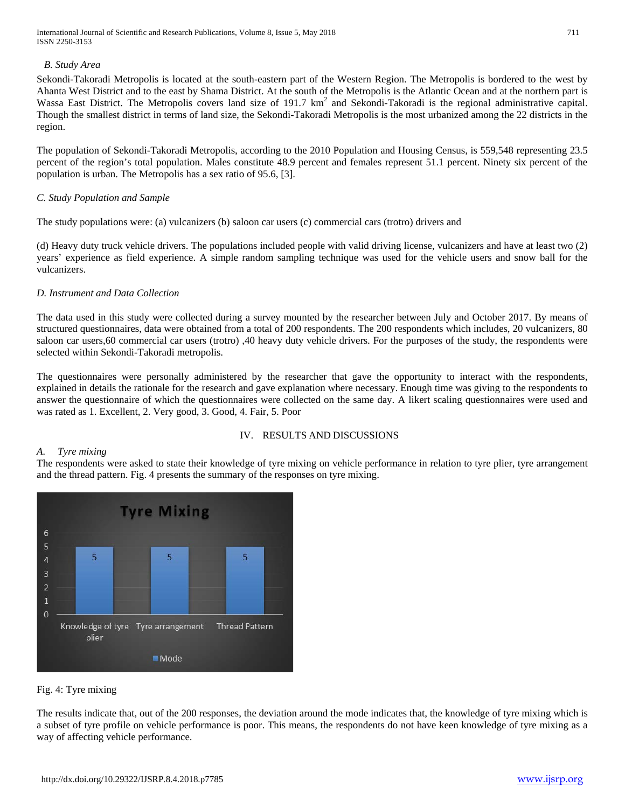International Journal of Scientific and Research Publications, Volume 8, Issue 5, May 2018 711 ISSN 2250-3153

## *B. Study Area*

Sekondi-Takoradi Metropolis is located at the south-eastern part of the Western Region. The Metropolis is bordered to the west by Ahanta West District and to the east by Shama District. At the south of the Metropolis is the Atlantic Ocean and at the northern part is Wassa East District. The Metropolis covers land size of 191.7  $km<sup>2</sup>$  and Sekondi-Takoradi is the regional administrative capital. Though the smallest district in terms of land size, the Sekondi-Takoradi Metropolis is the most urbanized among the 22 districts in the region.

The population of Sekondi-Takoradi Metropolis, according to the 2010 Population and Housing Census, is 559,548 representing 23.5 percent of the region's total population. Males constitute 48.9 percent and females represent 51.1 percent. Ninety six percent of the population is urban. The Metropolis has a sex ratio of 95.6, [3].

## *C. Study Population and Sample*

The study populations were: (a) vulcanizers (b) saloon car users (c) commercial cars (trotro) drivers and

(d) Heavy duty truck vehicle drivers. The populations included people with valid driving license, vulcanizers and have at least two (2) years' experience as field experience. A simple random sampling technique was used for the vehicle users and snow ball for the vulcanizers.

## *D. Instrument and Data Collection*

The data used in this study were collected during a survey mounted by the researcher between July and October 2017. By means of structured questionnaires, data were obtained from a total of 200 respondents. The 200 respondents which includes, 20 vulcanizers, 80 saloon car users,60 commercial car users (trotro) ,40 heavy duty vehicle drivers. For the purposes of the study, the respondents were selected within Sekondi-Takoradi metropolis.

The questionnaires were personally administered by the researcher that gave the opportunity to interact with the respondents, explained in details the rationale for the research and gave explanation where necessary. Enough time was giving to the respondents to answer the questionnaire of which the questionnaires were collected on the same day. A likert scaling questionnaires were used and was rated as 1. Excellent, 2. Very good, 3. Good, 4. Fair, 5. Poor

# IV. RESULTS AND DISCUSSIONS

# *A. Tyre mixing*

The respondents were asked to state their knowledge of tyre mixing on vehicle performance in relation to tyre plier, tyre arrangement and the thread pattern. Fig. 4 presents the summary of the responses on tyre mixing.



Fig. 4: Tyre mixing

The results indicate that, out of the 200 responses, the deviation around the mode indicates that, the knowledge of tyre mixing which is a subset of tyre profile on vehicle performance is poor. This means, the respondents do not have keen knowledge of tyre mixing as a way of affecting vehicle performance.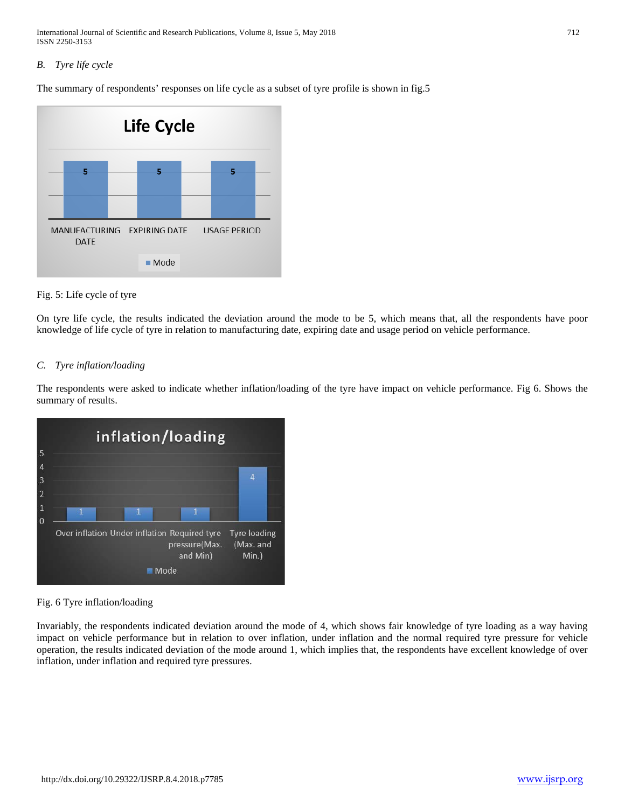International Journal of Scientific and Research Publications, Volume 8, Issue 5, May 2018 712 ISSN 2250-3153

# *B. Tyre life cycle*

The summary of respondents' responses on life cycle as a subset of tyre profile is shown in fig.5



## Fig. 5: Life cycle of tyre

On tyre life cycle, the results indicated the deviation around the mode to be 5, which means that, all the respondents have poor knowledge of life cycle of tyre in relation to manufacturing date, expiring date and usage period on vehicle performance.

## *C. Tyre inflation/loading*

The respondents were asked to indicate whether inflation/loading of the tyre have impact on vehicle performance. Fig 6. Shows the summary of results.



Fig. 6 Tyre inflation/loading

Invariably, the respondents indicated deviation around the mode of 4, which shows fair knowledge of tyre loading as a way having impact on vehicle performance but in relation to over inflation, under inflation and the normal required tyre pressure for vehicle operation, the results indicated deviation of the mode around 1, which implies that, the respondents have excellent knowledge of over inflation, under inflation and required tyre pressures.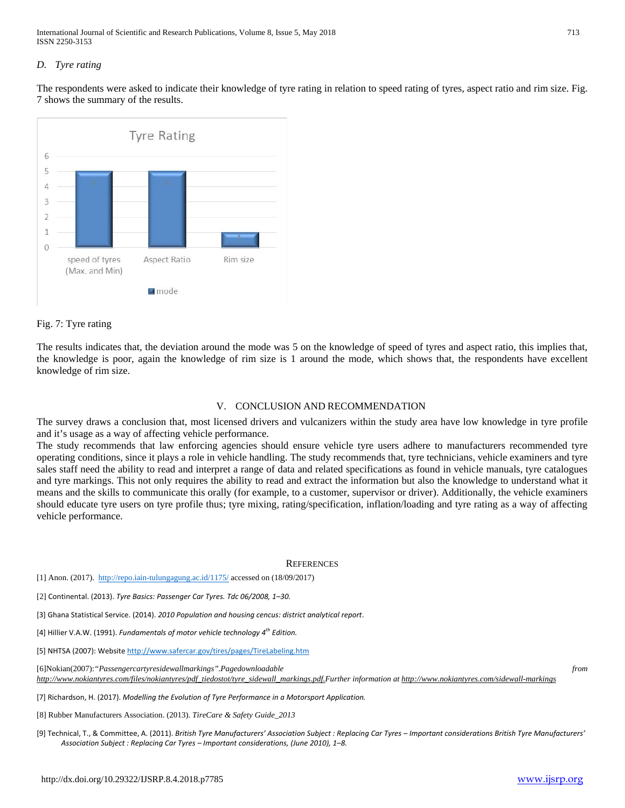International Journal of Scientific and Research Publications, Volume 8, Issue 5, May 2018 713 ISSN 2250-3153

#### *D. Tyre rating*

The respondents were asked to indicate their knowledge of tyre rating in relation to speed rating of tyres, aspect ratio and rim size. Fig. 7 shows the summary of the results.



#### Fig. 7: Tyre rating

The results indicates that, the deviation around the mode was 5 on the knowledge of speed of tyres and aspect ratio, this implies that, the knowledge is poor, again the knowledge of rim size is 1 around the mode, which shows that, the respondents have excellent knowledge of rim size.

#### V. CONCLUSION AND RECOMMENDATION

The survey draws a conclusion that, most licensed drivers and vulcanizers within the study area have low knowledge in tyre profile and it's usage as a way of affecting vehicle performance.

The study recommends that law enforcing agencies should ensure vehicle tyre users adhere to manufacturers recommended tyre operating conditions, since it plays a role in vehicle handling. The study recommends that, tyre technicians, vehicle examiners and tyre sales staff need the ability to read and interpret a range of data and related specifications as found in vehicle manuals, tyre catalogues and tyre markings. This not only requires the ability to read and extract the information but also the knowledge to understand what it means and the skills to communicate this orally (for example, to a customer, supervisor or driver). Additionally, the vehicle examiners should educate tyre users on tyre profile thus; tyre mixing, rating/specification, inflation/loading and tyre rating as a way of affecting vehicle performance.

#### **REFERENCES**

[1] Anon. (2017).<http://repo.iain-tulungagung.ac.id/1175/> accessed on (18/09/2017)

[2] Continental. (2013). *Tyre Basics: Passenger Car Tyres. Tdc 06/2008, 1–30.*

[3] Ghana Statistical Service. (2014). *2010 Population and housing cencus: district analytical report*.

[4] Hillier V.A.W. (1991). *Fundamentals of motor vehicle technology 4th Edition.*

[5] NHTSA (2007): Websit[e http://www.safercar.gov/tires/pages/TireLabeling.htm](http://www.safercar.gov/tires/pages/TireLabeling.htm)

[6]Nokian(2007):*"Passengercartyresidewallmarkings".Pagedownloadable from http://www.nokiantyres.com/files/nokiantyres/pdf\_tiedostot/tyre\_sidewall\_markings.pdf.Further information at http://www.nokiantyres.com/sidewall-markings*

[7] Richardson, H. (2017). *Modelling the Evolution of Tyre Performance in a Motorsport Application.*

[8] Rubber Manufacturers Association. (2013). *TireCare & Safety Guide\_2013*

[9] Technical, T., & Committee, A. (2011). *British Tyre Manufacturers' Association Subject : Replacing Car Tyres – Important considerations British Tyre Manufacturers' Association Subject : Replacing Car Tyres – Important considerations, (June 2010), 1–8.*